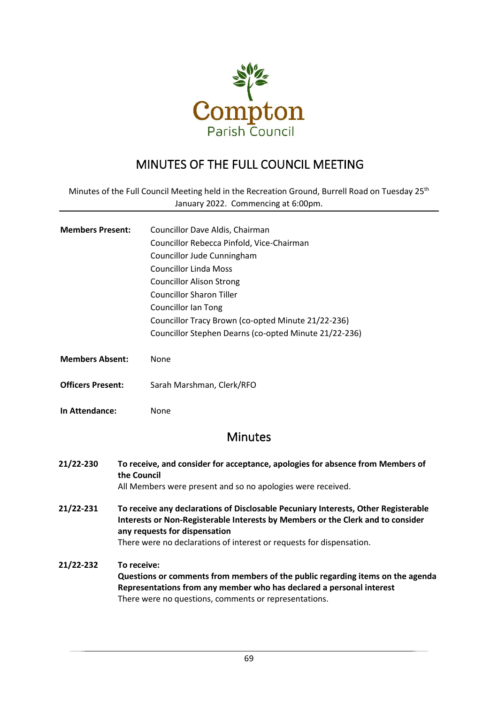

## MINUTES OF THE FULL COUNCIL MEETING

Minutes of the Full Council Meeting held in the Recreation Ground, Burrell Road on Tuesday 25<sup>th</sup> January 2022. Commencing at 6:00pm.

| <b>Members Present:</b> | Councillor Dave Aldis, Chairman                       |
|-------------------------|-------------------------------------------------------|
|                         | Councillor Rebecca Pinfold, Vice-Chairman             |
|                         | Councillor Jude Cunningham                            |
|                         | <b>Councillor Linda Moss</b>                          |
|                         | <b>Councillor Alison Strong</b>                       |
|                         | Councillor Sharon Tiller                              |
|                         | <b>Councillor Ian Tong</b>                            |
|                         | Councillor Tracy Brown (co-opted Minute 21/22-236)    |
|                         | Councillor Stephen Dearns (co-opted Minute 21/22-236) |
|                         |                                                       |

- **Members Absent:** None
- **Officers Present:** Sarah Marshman, Clerk/RFO
- **In Attendance:** None

## **Minutes**

- **21/22-230 To receive, and consider for acceptance, apologies for absence from Members of the Council** All Members were present and so no apologies were received.
- **21/22-231 To receive any declarations of Disclosable Pecuniary Interests, Other Registerable Interests or Non-Registerable Interests by Members or the Clerk and to consider any requests for dispensation** There were no declarations of interest or requests for dispensation.
- **21/22-232 To receive: Questions or comments from members of the public regarding items on the agenda Representations from any member who has declared a personal interest** There were no questions, comments or representations.